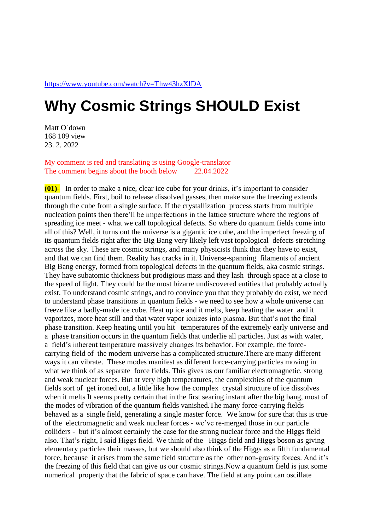## **Why Cosmic Strings SHOULD Exist**

Matt O´down 168 109 view 23. 2. 2022

My comment is red and translating is using Google-translator The comment begins about the booth below 22.04.2022

**(01)-** In order to make a nice, clear ice cube for your drinks, it's important to consider quantum fields. First, boil to release dissolved gasses, then make sure the freezing extends through the cube from a single surface. If the crystallization process starts from multiple nucleation points then there'll be imperfections in the lattice structure where the regions of spreading ice meet - what we call topological defects. So where do quantum fields come into all of this? Well, it turns out the universe is a gigantic ice cube, and the imperfect freezing of its quantum fields right after the Big Bang very likely left vast topological defects stretching across the sky. These are cosmic strings, and many physicists think that they have to exist, and that we can find them. Reality has cracks in it. Universe-spanning filaments of ancient Big Bang energy, formed from topological defects in the quantum fields, aka cosmic strings. They have subatomic thickness but prodigious mass and they lash through space at a close to the speed of light. They could be the most bizarre undiscovered entities that probably actually exist. To understand cosmic strings, and to convince you that they probably do exist, we need to understand phase transitions in quantum fields - we need to see how a whole universe can freeze like a badly-made ice cube. Heat up ice and it melts, keep heating the water and it vaporizes, more heat still and that water vapor ionizes into plasma. But that's not the final phase transition. Keep heating until you hit temperatures of the extremely early universe and a phase transition occurs in the quantum fields that underlie all particles. Just as with water, a field's inherent temperature massively changes its behavior. For example, the forcecarrying field of the modern universe has a complicated structure.There are many different ways it can vibrate. These modes manifest as different force-carrying particles moving in what we think of as separate force fields. This gives us our familiar electromagnetic, strong and weak nuclear forces. But at very high temperatures, the complexities of the quantum fields sort of get ironed out, a little like how the complex crystal structure of ice dissolves when it melts It seems pretty certain that in the first searing instant after the big bang, most of the modes of vibration of the quantum fields vanished.The many force-carrying fields behaved as a single field, generating a single master force. We know for sure that this is true of the electromagnetic and weak nuclear forces - we've re-merged those in our particle colliders - but it's almost certainly the case for the strong nuclear force and the Higgs field also. That's right, I said Higgs field. We think of the Higgs field and Higgs boson as giving elementary particles their masses, but we should also think of the Higgs as a fifth fundamental force, because it arises from the same field structure as the other non-gravity forces. And it's the freezing of this field that can give us our cosmic strings.Now a quantum field is just some numerical property that the fabric of space can have. The field at any point can oscillate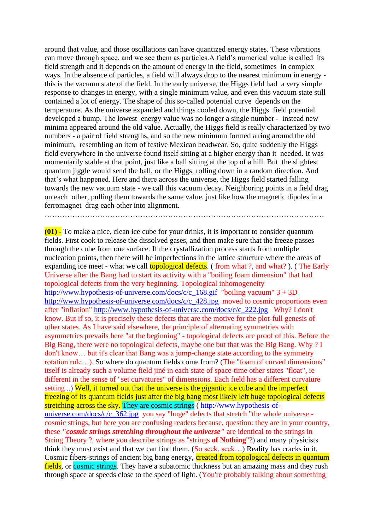around that value, and those oscillations can have quantized energy states. These vibrations can move through space, and we see them as particles.A field's numerical value is called its field strength and it depends on the amount of energy in the field, sometimes in complex ways. In the absence of particles, a field will always drop to the nearest minimum in energy this is the vacuum state of the field. In the early universe, the Higgs field had a very simple response to changes in energy, with a single minimum value, and even this vacuum state still contained a lot of energy. The shape of this so-called potential curve depends on the temperature. As the universe expanded and things cooled down, the Higgs field potential developed a bump. The lowest energy value was no longer a single number - instead new minima appeared around the old value. Actually, the Higgs field is really characterized by two numbers - a pair of field strengths, and so the new minimum formed a ring around the old minimum, resembling an item of festive Mexican headwear. So, quite suddenly the Higgs field everywhere in the universe found itself sitting at a higher energy than it needed. It was momentarily stable at that point, just like a ball sitting at the top of a hill. But the slightest quantum jiggle would send the ball, or the Higgs, rolling down in a random direction. And that's what happened. Here and there across the universe, the Higgs field started falling towards the new vacuum state - we call this vacuum decay. Neighboring points in a field drag on each other, pulling them towards the same value, just like how the magnetic dipoles in a ferromagnet drag each other into alignment.

…………………………………………………………………………………………………

**(01) -** To make a nice, clean ice cube for your drinks, it is important to consider quantum fields. First cook to release the dissolved gases, and then make sure that the freeze passes through the cube from one surface. If the crystallization process starts from multiple nucleation points, then there will be imperfections in the lattice structure where the areas of expanding ice meet - what we call **topological defects**. (from what ?, and what?). (The Early Universe after the Bang had to start its activity with a "boiling foam dimension" that had topological defects from the very beginning. Topological inhomogeneity [http://www.hypothesis-of-universe.com/docs/c/c\\_168.gif](http://www.hypothesis-of-universe.com/docs/c/c_168.gif) "boiling vacuum" 3 + 3D [http://www.hypothesis-of-universe.com/docs/c/c\\_428.jpg](http://www.hypothesis-of-universe.com/docs/c/c_428.jpg) moved to cosmic proportions even after "inflation" [http://www.hypothesis-of-universe.com/docs/c/c\\_222.jpg](http://www.hypothesis-of-universe.com/docs/c/c_222.jpg) Why? I don't know. But if so, it is precisely these defects that are the motive for the plot-full genesis of other states. As I have said elsewhere, the principle of alternating symmetries with asymmetries prevails here "at the beginning" - topological defects are proof of this. Before the Big Bang, there were no topological defects, maybe one but that was the Big Bang. Why ? I don't know… but it's clear that Bang was a jump-change state according to the symmetry rotation rule…). So where do quantum fields come from? (The "foam of curved dimensions" itself is already such a volume field jiné in each state of space-time other states "float", ie different in the sense of "set curvatures" of dimensions. Each field has a different curvature setting ...) Well, it turned out that the universe is the gigantic ice cube and the imperfect freezing of its quantum fields just after the big bang most likely left huge topological defects stretching across the sky. They are cosmic strings ( [http://www.hypothesis-of](http://www.hypothesis-of-universe.com/docs/c/c_362.jpg)[universe.com/docs/c/c\\_362.jpg](http://www.hypothesis-of-universe.com/docs/c/c_362.jpg) you say "huge" defects that stretch "the whole universe cosmic strings, but here you are confusing readers because, question: they are in your country, these *"cosmic strings stretching throughout the universe"* are identical to the strings in String Theory ?, where you describe strings as "strings **of Nothing**"?) and many physicists think they must exist and that we can find them. (So seek, seek…) Reality has cracks in it. Cosmic fibers-strings of ancient big bang energy, created from topological defects in quantum fields, or cosmic strings. They have a subatomic thickness but an amazing mass and they rush through space at speeds close to the speed of light. (You're probably talking about something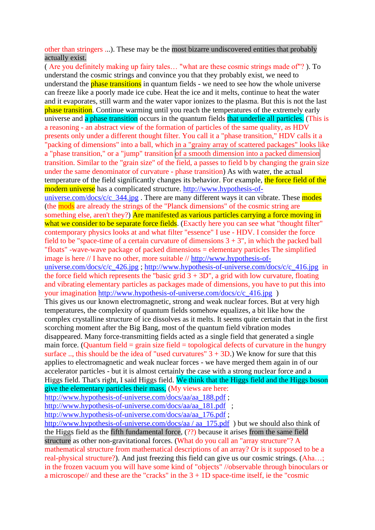other than stringers ...). These may be the most bizarre undiscovered entities that probably actually exist.

( Are you definitely making up fairy tales… "what are these cosmic strings made of"? ). To understand the cosmic strings and convince you that they probably exist, we need to understand the **phase transitions** in quantum fields - we need to see how the whole universe can freeze like a poorly made ice cube. Heat the ice and it melts, continue to heat the water and it evaporates, still warm and the water vapor ionizes to the plasma. But this is not the last phase transition. Continue warming until you reach the temperatures of the extremely early universe and a phase transition occurs in the quantum fields that underlie all particles. (This is a reasoning - an abstract view of the formation of particles of the same quality, as HDV presents only under a different thought filter. You call it a "phase transition," HDV calls it a "packing of dimensions" into a ball, which in a "grainy array of scattered packages" looks like a "phase transition," or a "jump" transition of a smooth dimension into a packed dimension transition. Similar to the "grain size" of the field, a passes to field b by changing the grain size under the same denominator of curvature - phase transition) As with water, the actual temperature of the field significantly changes its behavior. For example, the force field of the modern universe has a complicated structure. [http://www.hypothesis-of](http://www.hypothesis-of-universe.com/docs/c/c_344.jpg)universe.com/docs/c/c $\frac{344}{1}$ .jpg. There are many different ways it can vibrate. These modes (the mods are already the strings of the "Planck dimensions" of the cosmic string are something else, aren't they?) Are manifested as various particles carrying a force moving in what we consider to be separate force fields. (Exactly here you can see what "thought filter" contemporary physics looks at and what filter "essence" I use - HDV. I consider the force field to be "space-time of a certain curvature of dimensions  $3 + 3$ ", in which the packed ball "floats" -wave-wave package of packed dimensions = elementary particles The simplified image is here // I have no other, more suitable // [http://www.hypothesis-of](http://www.hypothesis-of-universe.com/docs/c/c_426.jpg)[universe.com/docs/c/c\\_426.jpg](http://www.hypothesis-of-universe.com/docs/c/c_426.jpg) ; [http://www.hypothesis-of-universe.com/docs/c/c\\_416.jpg](http://www.hypothesis-of-universe.com/docs/c/c_416.jpg) in the force field which represents the "basic grid  $3 + 3D$ ", a grid with low curvature, floating and vibrating elementary particles as packages made of dimensions, you have to put this into your imagination [http://www.hypothesis-of-universe.com/docs/c/c\\_416.jpg](http://www.hypothesis-of-universe.com/docs/c/c_416.jpg) ) This gives us our known electromagnetic, strong and weak nuclear forces. But at very high temperatures, the complexity of quantum fields somehow equalizes, a bit like how the complex crystalline structure of ice dissolves as it melts. It seems quite certain that in the first scorching moment after the Big Bang, most of the quantum field vibration modes disappeared. Many force-transmitting fields acted as a single field that generated a single main force. (Quantum field  $=$  grain size field  $=$  topological defects of curvature in the hungry surface .., this should be the idea of "used curvatures"  $3 + 3D$ .) We know for sure that this applies to electromagnetic and weak nuclear forces - we have merged them again in of our accelerator particles - but it is almost certainly the case with a strong nuclear force and a Higgs field. That's right, I said Higgs field. We think that the Higgs field and the Higgs boson give the elementary particles their mass, (My views are here: [http://www.hypothesis-of-universe.com/docs/aa/aa\\_188.pdf](http://www.hypothesis-of-universe.com/docs/aa/aa_188.pdf) ; [http://www.hypothesis-of-universe.com/docs/aa/aa\\_181.pdf](http://www.hypothesis-of-universe.com/docs/aa/aa_181.pdf) ; [http://www.hypothesis-of-universe.com/docs/aa/aa\\_176.pdf](http://www.hypothesis-of-universe.com/docs/aa/aa_176.pdf) ; [http://www.hypothesis-of-universe.com/docs/aa / aa\\_175.pdf](http://www.hypothesis-of-universe.com/docs/aa%20/%20aa_175.pdf) ) but we should also think of the Higgs field as the fifth fundamental force, (??) because it arises from the same field structure as other non-gravitational forces. (What do you call an "array structure"? A

mathematical structure from mathematical descriptions of an array? Or is it supposed to be a real-physical structure?). And just freezing this field can give us our cosmic strings. (Aha…; in the frozen vacuum you will have some kind of "objects" //observable through binoculars or a microscope// and these are the "cracks" in the  $3 + 1D$  space-time itself, ie the "cosmic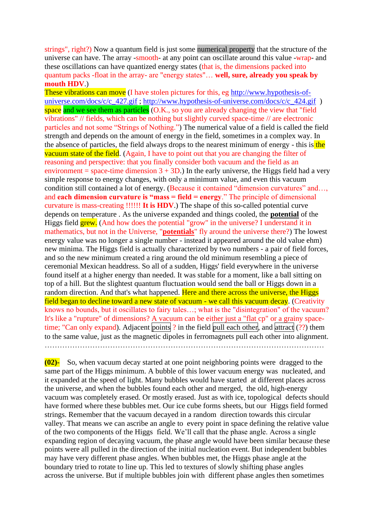strings", right?) Now a quantum field is just some numerical property that the structure of the universe can have. The array -smooth- at any point can oscillate around this value -wrap- and these oscillations can have quantized energy states (that is, the dimensions packed into quantum packs -float in the array- are "energy states"… **well, sure, already you speak by mouth HDV**.)

These vibrations can move (I have stolen pictures for this, eg [http://www.hypothesis-of](http://www.hypothesis-of-universe.com/docs/c/c_427.gif)[universe.com/docs/c/c\\_427.gif](http://www.hypothesis-of-universe.com/docs/c/c_427.gif) ; [http://www.hypothesis-of-universe.com/docs/c/c\\_424.gif](http://www.hypothesis-of-universe.com/docs/c/c_424.gif) ) space and we see them as particles (O.K., so you are already changing the view that "field" vibrations" // fields, which can be nothing but slightly curved space-time // are electronic particles and not some "Strings of Nothing.") The numerical value of a field is called the field strength and depends on the amount of energy in the field, sometimes in a complex way. In the absence of particles, the field always drops to the nearest minimum of energy - this is the vacuum state of the field. (Again, I have to point out that you are changing the filter of reasoning and perspective: that you finally consider both vacuum and the field as an environment = space-time dimension  $3 + 3D$ .) In the early universe, the Higgs field had a very simple response to energy changes, with only a minimum value, and even this vacuum condition still contained a lot of energy. (Because it contained "dimension curvatures" and…, and **each dimension curvature is "mass = field = energy**." The principle of dimensional curvature is mass-creating !!!!!! **It is HDV**.) The shape of this so-called potential curve depends on temperature . As the universe expanded and things cooled, the **potential** of the Higgs field **grew.** (And how does the potential "grow" in the universe? I understand it in mathematics, but not in the Universe, "**potentials**" fly around the universe there?) The lowest energy value was no longer a single number - instead it appeared around the old value ehm) new minima. The Higgs field is actually characterized by two numbers - a pair of field forces, and so the new minimum created a ring around the old minimum resembling a piece of ceremonial Mexican headdress. So all of a sudden, Higgs' field everywhere in the universe found itself at a higher energy than needed. It was stable for a moment, like a ball sitting on top of a hill. But the slightest quantum fluctuation would send the ball or Higgs down in a random direction. And that's what happened. Here and there across the universe, the Higgs field began to decline toward a new state of vacuum - we call this vacuum decay. (Creativity knows no bounds, but it oscillates to fairy tales…; what is the "disintegration" of the vacuum? It's like a "rupture" of dimensions? A vacuum can be either just a "flat cp" or a grainy spacetime; "Can only expand). Adjacent points ? in the field pull each other, and attract (??) them to the same value, just as the magnetic dipoles in ferromagnets pull each other into alignment. …………………………………………………………………………………………………

**(02)-** So, when vacuum decay started at one point neighboring points were dragged to the same part of the Higgs minimum. A bubble of this lower vacuum energy was nucleated, and it expanded at the speed of light. Many bubbles would have started at different places across the universe, and when the bubbles found each other and merged, the old, high-energy vacuum was completely erased. Or mostly erased. Just as with ice, topological defects should have formed where these bubbles met. Our ice cube forms sheets, but our Higgs field formed strings. Remember that the vacuum decayed in a random direction towards this circular valley. That means we can ascribe an angle to every point in space defining the relative value of the two components of the Higgs field. We'll call that the phase angle. Across a single expanding region of decaying vacuum, the phase angle would have been similar because these points were all pulled in the direction of the initial nucleation event. But independent bubbles may have very different phase angles. When bubbles met, the Higgs phase angle at the boundary tried to rotate to line up. This led to textures of slowly shifting phase angles across the universe. But if multiple bubbles join with different phase angles then sometimes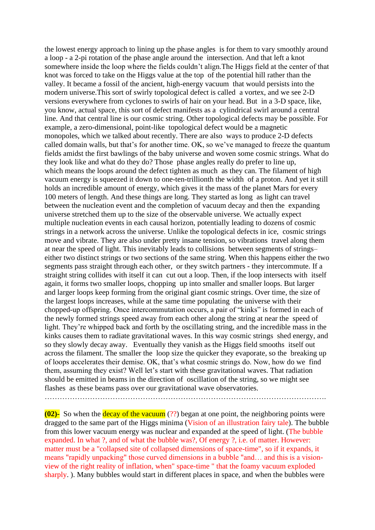the lowest energy approach to lining up the phase angles is for them to vary smoothly around a loop - a 2-pi rotation of the phase angle around the intersection. And that left a knot somewhere inside the loop where the fields couldn't align.The Higgs field at the center of that knot was forced to take on the Higgs value at the top of the potential hill rather than the valley. It became a fossil of the ancient, high-energy vacuum that would persists into the modern universe.This sort of swirly topological defect is called a vortex, and we see 2-D versions everywhere from cyclones to swirls of hair on your head. But in a 3-D space, like, you know, actual space, this sort of defect manifests as a cylindrical swirl around a central line. And that central line is our cosmic string. Other topological defects may be possible. For example, a zero-dimensional, point-like topological defect would be a magnetic monopoles, which we talked about recently. There are also ways to produce 2-D defects called domain walls, but that's for another time. OK, so we've managed to freeze the quantum fields amidst the first bawlings of the baby universe and woven some cosmic strings. What do they look like and what do they do? Those phase angles really do prefer to line up, which means the loops around the defect tighten as much as they can. The filament of high vacuum energy is squeezed it down to one-ten-trillionth the width of a proton. And yet it still holds an incredible amount of energy, which gives it the mass of the planet Mars for every 100 meters of length. And these things are long. They started as long as light can travel between the nucleation event and the completion of vacuum decay and then the expanding universe stretched them up to the size of the observable universe. We actually expect multiple nucleation events in each causal horizon, potentially leading to dozens of cosmic strings in a network across the universe. Unlike the topological defects in ice, cosmic strings move and vibrate. They are also under pretty insane tension, so vibrations travel along them at near the speed of light. This inevitably leads to collisions between segments of strings– either two distinct strings or two sections of the same string. When this happens either the two segments pass straight through each other, or they switch partners - they intercommute. If a straight string collides with itself it can cut out a loop. Then, if the loop intersects with itself again, it forms two smaller loops, chopping up into smaller and smaller loops. But larger and larger loops keep forming from the original giant cosmic strings. Over time, the size of the largest loops increases, while at the same time populating the universe with their chopped-up offspring. Once intercommutation occurs, a pair of "kinks" is formed in each of the newly formed strings speed away from each other along the string at near the speed of light. They're whipped back and forth by the oscillating string, and the incredible mass in the kinks causes them to radiate gravitational waves. In this way cosmic strings shed energy, and so they slowly decay away. Eventually they vanish as the Higgs field smooths itself out across the filament. The smaller the loop size the quicker they evaporate, so the breaking up of loops accelerates their demise. OK, that's what cosmic strings do. Now, how do we find them, assuming they exist? Well let's start with these gravitational waves. That radiation should be emitted in beams in the direction of oscillation of the string, so we might see flashes as these beams pass over our gravitational wave observatories.

………………………………………………………………………………………………….

**(02)-** So when the decay of the vacuum (??) began at one point, the neighboring points were dragged to the same part of the Higgs minima (Vision of an illustration fairy tale). The bubble from this lower vacuum energy was nuclear and expanded at the speed of light. (The bubble expanded. In what ?, and of what the bubble was?, Of energy ?, i.e. of matter. However: matter must be a "collapsed site of collapsed dimensions of space-time", so if it expands, it means "rapidly unpacking" those curved dimensions in a bubble "and… and this is a visionview of the right reality of inflation, when" space-time " that the foamy vacuum exploded sharply. ). Many bubbles would start in different places in space, and when the bubbles were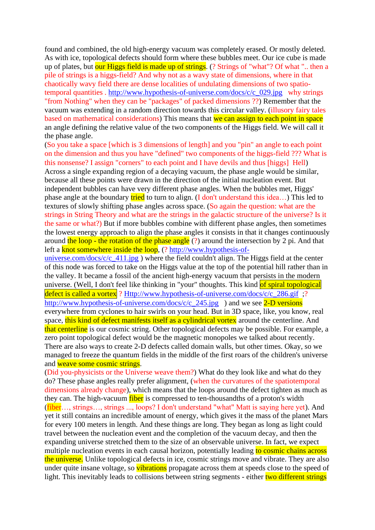found and combined, the old high-energy vacuum was completely erased. Or mostly deleted. As with ice, topological defects should form where these bubbles meet. Our ice cube is made up of plates, but our Higgs field is made up of strings. (? Strings of "what"? Of what ".. then a pile of strings is a higgs-field? And why not as a wavy state of dimensions, where in that chaotically wavy field there are dense localities of undulating dimensions of two spatiotemporal quantities . [http://www.hypothesis-of-universe.com/docs/c/c\\_029.jpg](http://www.hypothesis-of-universe.com/docs/c/c_029.jpg) why strings "from Nothing" when they can be "packages" of packed dimensions ??) Remember that the vacuum was extending in a random direction towards this circular valley. (illusory fairy tales based on mathematical considerations) This means that we can assign to each point in space an angle defining the relative value of the two components of the Higgs field. We will call it the phase angle.

(So you take a space [which is 3 dimensions of length] and you "pin" an angle to each point on the dimension and thus you have "defined" two components of the higgs-field ??? What is this nonsense? I assign "corners" to each point and I have devils and thus [higgs] Hell) Across a single expanding region of a decaying vacuum, the phase angle would be similar, because all these points were drawn in the direction of the initial nucleation event. But independent bubbles can have very different phase angles. When the bubbles met, Higgs' phase angle at the boundary tried to turn to align. (I don't understand this idea…) This led to textures of slowly shifting phase angles across space. (So again the question: what are the strings in String Theory and what are the strings in the galactic structure of the universe? Is it the same or what?) But if more bubbles combine with different phase angles, then sometimes the lowest energy approach to align the phase angles it consists in that it changes continuously around the loop - the rotation of the phase angle (?) around the intersection by 2 pi. And that left a knot somewhere inside the loop, (? [http://www.hypothesis-of-](http://www.hypothesis-of-universe.com/docs/c/c_411.jpg)

universe.com/docs/c/c  $411.jpg$ ) where the field couldn't align. The Higgs field at the center of this node was forced to take on the Higgs value at the top of the potential hill rather than in the valley. It became a fossil of the ancient high-energy vacuum that persists in the modern universe. (Well, I don't feel like thinking in "your" thoughts. This kind of spiral topological defect is called a vortex ? [Http://www.hypothesis-of-universe.com/docs/c/c\\_286.gif](http://www.hypothesis-of-universe.com/docs/c/c_286.gif) ;? http://www.hypothesis-of-universe.com/docs/c/c 245.jpg ) and we see 2-D versions everywhere from cyclones to hair swirls on your head. But in 3D space, like, you know, real space, this kind of defect manifests itself as a cylindrical vortex around the centerline. And that centerline is our cosmic string. Other topological defects may be possible. For example, a zero point topological defect would be the magnetic monopoles we talked about recently. There are also ways to create 2-D defects called domain walls, but other times. Okay, so we managed to freeze the quantum fields in the middle of the first roars of the children's universe and weave some cosmic strings.

(Did you-physicists or the Universe weave them?) What do they look like and what do they do? These phase angles really prefer alignment, (when the curvatures of the spatiotemporal dimensions already change), which means that the loops around the defect tighten as much as they can. The high-vacuum fiber is compressed to ten-thousandths of a proton's width (fiber…, strings…, strings ..., loops? I don't understand "what" Matt is saying here yet). And yet it still contains an incredible amount of energy, which gives it the mass of the planet Mars for every 100 meters in length. And these things are long. They began as long as light could travel between the nucleation event and the completion of the vacuum decay, and then the expanding universe stretched them to the size of an observable universe. In fact, we expect multiple nucleation events in each causal horizon, potentially leading to cosmic chains across the universe. Unlike topological defects in ice, cosmic strings move and vibrate. They are also under quite insane voltage, so vibrations propagate across them at speeds close to the speed of light. This inevitably leads to collisions between string segments - either two different strings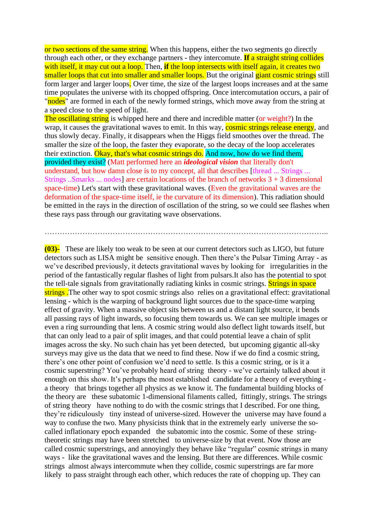or two sections of the same string. When this happens, either the two segments go directly through each other, or they exchange partners - they intercomute. **If** a straight string collides with itself, it may cut out a loop. Then, **if** the loop intersects with itself again, it creates two smaller loops that cut into smaller and smaller loops. But the original giant cosmic strings still form larger and larger loops. Over time, the size of the largest loops increases and at the same time populates the universe with its chopped offspring. Once intercomutation occurs, a pair of "nodes" are formed in each of the newly formed strings, which move away from the string at a speed close to the speed of light.

The oscillating string is whipped here and there and incredible matter (or weight?) In the wrap, it causes the gravitational waves to emit. In this way, cosmic strings release energy, and thus slowly decay. Finally, it disappears when the Higgs field smoothes over the thread. The smaller the size of the loop, the faster they evaporate, so the decay of the loop accelerates their extinction. Okay, that's what cosmic strings do. And now, how do we find them, provided they exist? (Matt performed here an *ideological vision* that literally don't understand, but how damn close is to my concept, all that describes [thread ... Strings ... Strings ...Smarks ... nodes] are certain locations of the branch of networks  $3 + 3$  dimensional space-time) Let's start with these gravitational waves. (Even the gravitational waves are the deformation of the space-time itself, ie the curvature of its dimension). This radiation should be emitted in the rays in the direction of oscillation of the string, so we could see flashes when these rays pass through our gravitating wave observations.

…………………………………………………………………………………………………..

**(03)-** These are likely too weak to be seen at our current detectors such as LIGO, but future detectors such as LISA might be sensitive enough. Then there's the Pulsar Timing Array - as we've described previously, it detects gravitational waves by looking for irregularities in the period of the fantastically regular flashes of light from pulsars.It also has the potential to spot the tell-tale signals from gravitationally radiating kinks in cosmic strings. Strings in space strings. The other way to spot cosmic strings also relies on a gravitational effect: gravitational lensing - which is the warping of background light sources due to the space-time warping effect of gravity. When a massive object sits between us and a distant light source, it bends all passing rays of light inwards, so focusing them towards us. We can see multiple images or even a ring surrounding that lens. A cosmic string would also deflect light towards itself, but that can only lead to a pair of split images, and that could potential leave a chain of split images across the sky. No such chain has yet been detected, but upcoming gigantic all-sky surveys may give us the data that we need to find these. Now if we do find a cosmic string, there's one other point of confusion we'd need to settle. Is this a cosmic string, or is it a cosmic superstring? You've probably heard of string theory - we've certainly talked about it enough on this show. It's perhaps the most established candidate for a theory of everything a theory that brings together all physics as we know it. The fundamental building blocks of the theory are these subatomic 1-dimensional filaments called, fittingly, strings. The strings of string theory have nothing to do with the cosmic strings that I described. For one thing, they're ridiculously tiny instead of universe-sized. However the universe may have found a way to confuse the two. Many physicists think that in the extremely early universe the socalled inflationary epoch expanded the subatomic into the cosmic. Some of these stringtheoretic strings may have been stretched to universe-size by that event. Now those are called cosmic superstrings, and annoyingly they behave like "regular" cosmic strings in many ways - like the gravitational waves and the lensing. But there are differences. While cosmic strings almost always intercommute when they collide, cosmic superstrings are far more likely to pass straight through each other, which reduces the rate of chopping up. They can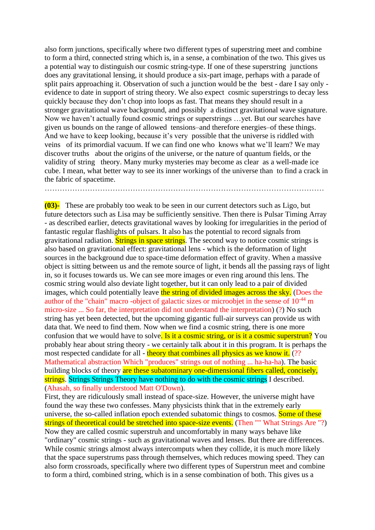also form junctions, specifically where two different types of superstring meet and combine to form a third, connected string which is, in a sense, a combination of the two. This gives us a potential way to distinguish our cosmic string-type. If one of these superstring junctions does any gravitational lensing, it should produce a six-part image, perhaps with a parade of split pairs approaching it. Observation of such a junction would be the best - dare I say only evidence to date in support of string theory. We also expect cosmic superstrings to decay less quickly because they don't chop into loops as fast. That means they should result in a stronger gravitational wave background, and possibly a distinct gravitational wave signature. Now we haven't actually found cosmic strings or superstrings …yet. But our searches have given us bounds on the range of allowed tensions–and therefore energies–of these things. And we have to keep looking, because it's very possible that the universe is riddled with veins of its primordial vacuum. If we can find one who knows what we'll learn? We may discover truths about the origins of the universe, or the nature of quantum fields, or the validity of string theory. Many murky mysteries may become as clear as a well-made ice cube. I mean, what better way to see its inner workings of the universe than to find a crack in the fabric of spacetime.

…………………………………………………………………………………………………

**(03)-** These are probably too weak to be seen in our current detectors such as Ligo, but future detectors such as Lisa may be sufficiently sensitive. Then there is Pulsar Timing Array - as described earlier, detects gravitational waves by looking for irregularities in the period of fantastic regular flashlights of pulsars. It also has the potential to record signals from gravitational radiation. Strings in space strings. The second way to notice cosmic strings is also based on gravitational effect: gravitational lens - which is the deformation of light sources in the background due to space-time deformation effect of gravity. When a massive object is sitting between us and the remote source of light, it bends all the passing rays of light in, so it focuses towards us. We can see more images or even ring around this lens. The cosmic string would also deviate light together, but it can only lead to a pair of divided images, which could potentially leave the string of divided images across the sky. (Does the author of the "chain" macro -object of galactic sizes or microobjet in the sense of 10-44 m micro-size ... So far, the interpretation did not understand the interpretation) (?) No such string has yet been detected, but the upcoming gigantic full-air surveys can provide us with data that. We need to find them. Now when we find a cosmic string, there is one more confusion that we would have to solve. Is it a cosmic string, or is it a cosmic superstrun? You probably hear about string theory - we certainly talk about it in this program. It is perhaps the most respected candidate for all - theory that combines all physics as we know it. (??) Mathematical abstraction Which "produces" strings out of nothing ... ha-ha-ha). The basic building blocks of theory are these subatominary one-dimensional fibers called, concisely, strings. Strings Strings Theory have nothing to do with the cosmic strings I described. (Ahasah, so finally understood Matt O'Down).

First, they are ridiculously small instead of space-size. However, the universe might have found the way these two confesses. Many physicists think that in the extremely early universe, the so-called inflation epoch extended subatomic things to cosmos. Some of these strings of theoretical could be stretched into space-size events. (Then "" What Strings Are "?) Now they are called cosmic superstruh and uncomfortably in many ways behave like "ordinary" cosmic strings - such as gravitational waves and lenses. But there are differences. While cosmic strings almost always intercomputs when they collide, it is much more likely that the space superstrums pass through themselves, which reduces mowing speed. They can also form crossroads, specifically where two different types of Superstrun meet and combine to form a third, combined string, which is in a sense combination of both. This gives us a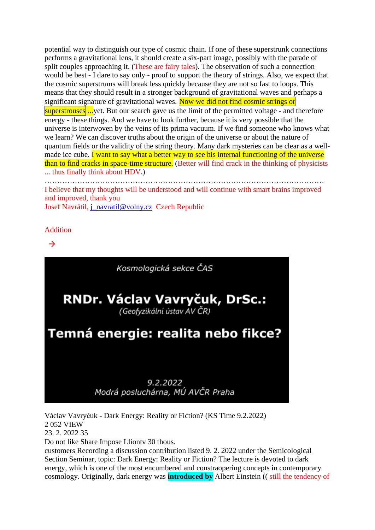potential way to distinguish our type of cosmic chain. If one of these superstrunk connections performs a gravitational lens, it should create a six-part image, possibly with the parade of split couples approaching it. (These are fairy tales). The observation of such a connection would be best - I dare to say only - proof to support the theory of strings. Also, we expect that the cosmic superstrums will break less quickly because they are not so fast to loops. This means that they should result in a stronger background of gravitational waves and perhaps a significant signature of gravitational waves. Now we did not find cosmic strings or superstrouses ...yet. But our search gave us the limit of the permitted voltage - and therefore energy - these things. And we have to look further, because it is very possible that the universe is interwoven by the veins of its prima vacuum. If we find someone who knows what we learn? We can discover truths about the origin of the universe or about the nature of quantum fields or the validity of the string theory. Many dark mysteries can be clear as a wellmade ice cube. I want to say what a better way to see his internal functioning of the universe than to find cracks in space-time structure. (Better will find crack in the thinking of physicists ... thus finally think about HDV.)

………………………………………………………………………………………………… I believe that my thoughts will be understood and will continue with smart brains improved and improved, thank you Josef Navrátil, [j\\_navratil@volny.cz](mailto:j_navratil@volny.cz) Czech Republic

**Addition** 

 $\rightarrow$ 



Václav Vavryčuk - Dark Energy: Reality or Fiction? (KS Time 9.2.2022) 2 052 VIEW 23. 2. 2022 35 Do not like Share Impose Lliontv 30 thous. customers Recording a discussion contribution listed 9. 2. 2022 under the Semicological Section Seminar, topic: Dark Energy: Reality or Fiction? The lecture is devoted to dark energy, which is one of the most encumbered and constraopering concepts in contemporary

cosmology. Originally, dark energy was **introduced by** Albert Einstein (( still the tendency of